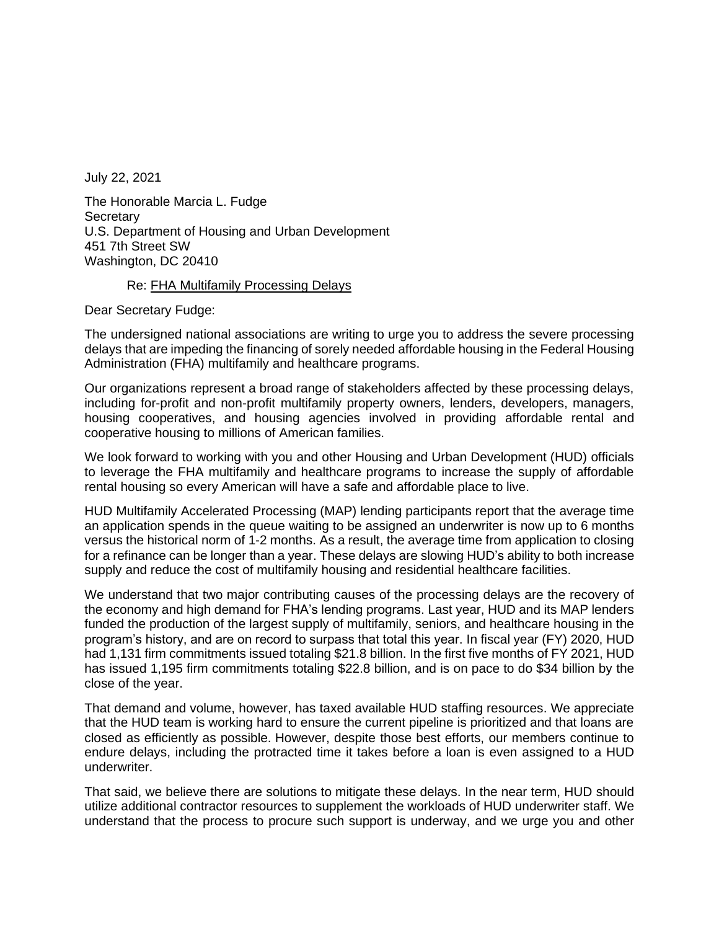July 22, 2021

The Honorable Marcia L. Fudge **Secretary** U.S. Department of Housing and Urban Development 451 7th Street SW Washington, DC 20410

## Re: FHA Multifamily Processing Delays

Dear Secretary Fudge:

The undersigned national associations are writing to urge you to address the severe processing delays that are impeding the financing of sorely needed affordable housing in the Federal Housing Administration (FHA) multifamily and healthcare programs.

Our organizations represent a broad range of stakeholders affected by these processing delays, including for-profit and non-profit multifamily property owners, lenders, developers, managers, housing cooperatives, and housing agencies involved in providing affordable rental and cooperative housing to millions of American families.

We look forward to working with you and other Housing and Urban Development (HUD) officials to leverage the FHA multifamily and healthcare programs to increase the supply of affordable rental housing so every American will have a safe and affordable place to live.

HUD Multifamily Accelerated Processing (MAP) lending participants report that the average time an application spends in the queue waiting to be assigned an underwriter is now up to 6 months versus the historical norm of 1-2 months. As a result, the average time from application to closing for a refinance can be longer than a year. These delays are slowing HUD's ability to both increase supply and reduce the cost of multifamily housing and residential healthcare facilities.

We understand that two major contributing causes of the processing delays are the recovery of the economy and high demand for FHA's lending programs. Last year, HUD and its MAP lenders funded the production of the largest supply of multifamily, seniors, and healthcare housing in the program's history, and are on record to surpass that total this year. In fiscal year (FY) 2020, HUD had 1,131 firm commitments issued totaling \$21.8 billion. In the first five months of FY 2021, HUD has issued 1,195 firm commitments totaling \$22.8 billion, and is on pace to do \$34 billion by the close of the year.

That demand and volume, however, has taxed available HUD staffing resources. We appreciate that the HUD team is working hard to ensure the current pipeline is prioritized and that loans are closed as efficiently as possible. However, despite those best efforts, our members continue to endure delays, including the protracted time it takes before a loan is even assigned to a HUD underwriter.

That said, we believe there are solutions to mitigate these delays. In the near term, HUD should utilize additional contractor resources to supplement the workloads of HUD underwriter staff. We understand that the process to procure such support is underway, and we urge you and other